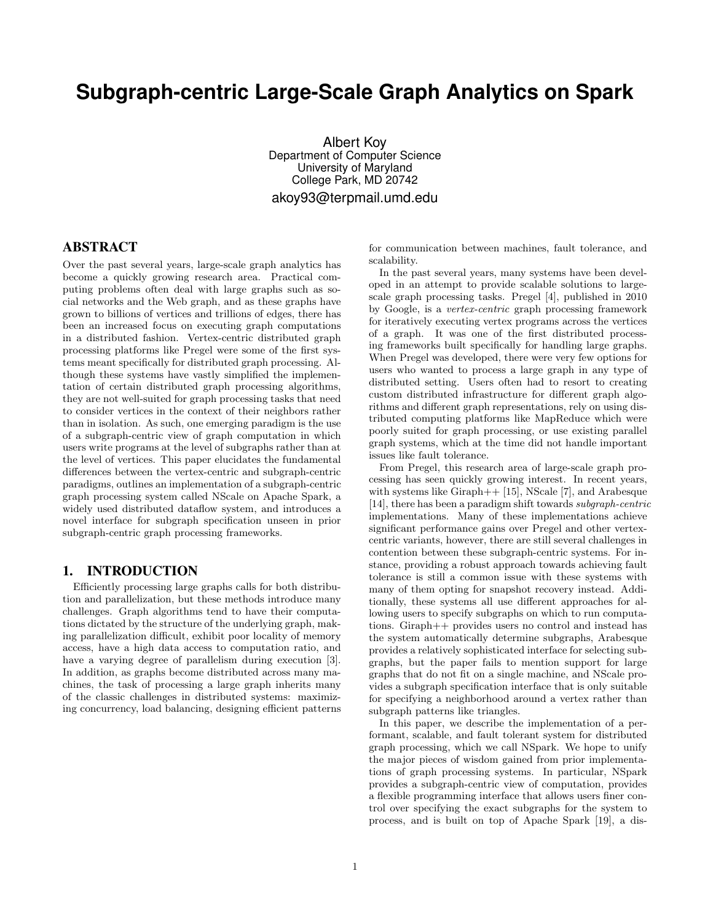# **Subgraph-centric Large-Scale Graph Analytics on Spark**

Albert Koy Department of Computer Science University of Maryland College Park, MD 20742 akoy93@terpmail.umd.edu

# ABSTRACT

Over the past several years, large-scale graph analytics has become a quickly growing research area. Practical computing problems often deal with large graphs such as social networks and the Web graph, and as these graphs have grown to billions of vertices and trillions of edges, there has been an increased focus on executing graph computations in a distributed fashion. Vertex-centric distributed graph processing platforms like Pregel were some of the first systems meant specifically for distributed graph processing. Although these systems have vastly simplified the implementation of certain distributed graph processing algorithms, they are not well-suited for graph processing tasks that need to consider vertices in the context of their neighbors rather than in isolation. As such, one emerging paradigm is the use of a subgraph-centric view of graph computation in which users write programs at the level of subgraphs rather than at the level of vertices. This paper elucidates the fundamental differences between the vertex-centric and subgraph-centric paradigms, outlines an implementation of a subgraph-centric graph processing system called NScale on Apache Spark, a widely used distributed dataflow system, and introduces a novel interface for subgraph specification unseen in prior subgraph-centric graph processing frameworks.

### 1. INTRODUCTION

Efficiently processing large graphs calls for both distribution and parallelization, but these methods introduce many challenges. Graph algorithms tend to have their computations dictated by the structure of the underlying graph, making parallelization difficult, exhibit poor locality of memory access, have a high data access to computation ratio, and have a varying degree of parallelism during execution [3]. In addition, as graphs become distributed across many machines, the task of processing a large graph inherits many of the classic challenges in distributed systems: maximizing concurrency, load balancing, designing efficient patterns for communication between machines, fault tolerance, and scalability.

In the past several years, many systems have been developed in an attempt to provide scalable solutions to largescale graph processing tasks. Pregel [4], published in 2010 by Google, is a vertex-centric graph processing framework for iteratively executing vertex programs across the vertices of a graph. It was one of the first distributed processing frameworks built specifically for handling large graphs. When Pregel was developed, there were very few options for users who wanted to process a large graph in any type of distributed setting. Users often had to resort to creating custom distributed infrastructure for different graph algorithms and different graph representations, rely on using distributed computing platforms like MapReduce which were poorly suited for graph processing, or use existing parallel graph systems, which at the time did not handle important issues like fault tolerance.

From Pregel, this research area of large-scale graph processing has seen quickly growing interest. In recent years, with systems like Giraph<sup>++</sup> [15], NScale [7], and Arabesque [14], there has been a paradigm shift towards subgraph-centric implementations. Many of these implementations achieve significant performance gains over Pregel and other vertexcentric variants, however, there are still several challenges in contention between these subgraph-centric systems. For instance, providing a robust approach towards achieving fault tolerance is still a common issue with these systems with many of them opting for snapshot recovery instead. Additionally, these systems all use different approaches for allowing users to specify subgraphs on which to run computations. Giraph++ provides users no control and instead has the system automatically determine subgraphs, Arabesque provides a relatively sophisticated interface for selecting subgraphs, but the paper fails to mention support for large graphs that do not fit on a single machine, and NScale provides a subgraph specification interface that is only suitable for specifying a neighborhood around a vertex rather than subgraph patterns like triangles.

In this paper, we describe the implementation of a performant, scalable, and fault tolerant system for distributed graph processing, which we call NSpark. We hope to unify the major pieces of wisdom gained from prior implementations of graph processing systems. In particular, NSpark provides a subgraph-centric view of computation, provides a flexible programming interface that allows users finer control over specifying the exact subgraphs for the system to process, and is built on top of Apache Spark [19], a dis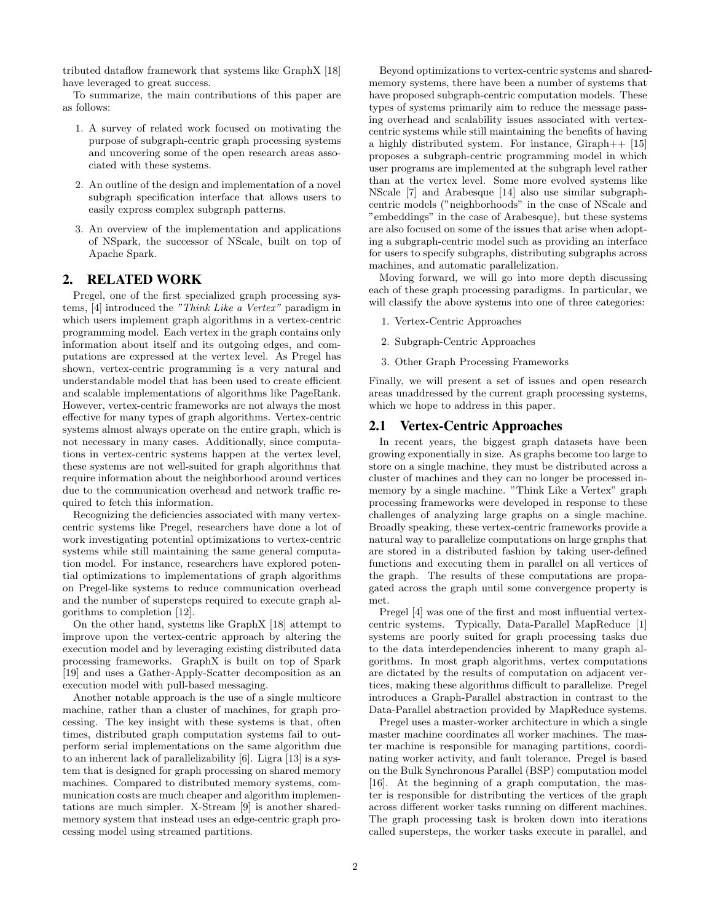tributed dataflow framework that systems like GraphX [18] have leveraged to great success.

To summarize, the main contributions of this paper are as follows:

- 1. A survey of related work focused on motivating the purpose of subgraph-centric graph processing systems and uncovering some of the open research areas associated with these systems.
- 2. An outline of the design and implementation of a novel subgraph specification interface that allows users to easily express complex subgraph patterns.
- 3. An overview of the implementation and applications of NSpark, the successor of NScale, built on top of Apache Spark.

## 2. RELATED WORK

Pregel, one of the first specialized graph processing systems, [4] introduced the "Think Like a Vertex" paradigm in which users implement graph algorithms in a vertex-centric programming model. Each vertex in the graph contains only information about itself and its outgoing edges, and computations are expressed at the vertex level. As Pregel has shown, vertex-centric programming is a very natural and understandable model that has been used to create efficient and scalable implementations of algorithms like PageRank. However, vertex-centric frameworks are not always the most effective for many types of graph algorithms. Vertex-centric systems almost always operate on the entire graph, which is not necessary in many cases. Additionally, since computations in vertex-centric systems happen at the vertex level, these systems are not well-suited for graph algorithms that require information about the neighborhood around vertices due to the communication overhead and network traffic required to fetch this information.

Recognizing the deficiencies associated with many vertexcentric systems like Pregel, researchers have done a lot of work investigating potential optimizations to vertex-centric systems while still maintaining the same general computation model. For instance, researchers have explored potential optimizations to implementations of graph algorithms on Pregel-like systems to reduce communication overhead and the number of supersteps required to execute graph algorithms to completion [12].

On the other hand, systems like GraphX [18] attempt to improve upon the vertex-centric approach by altering the execution model and by leveraging existing distributed data processing frameworks. GraphX is built on top of Spark [19] and uses a Gather-Apply-Scatter decomposition as an execution model with pull-based messaging.

Another notable approach is the use of a single multicore machine, rather than a cluster of machines, for graph processing. The key insight with these systems is that, often times, distributed graph computation systems fail to outperform serial implementations on the same algorithm due to an inherent lack of parallelizability [6]. Ligra [13] is a system that is designed for graph processing on shared memory machines. Compared to distributed memory systems, communication costs are much cheaper and algorithm implementations are much simpler. X-Stream [9] is another sharedmemory system that instead uses an edge-centric graph processing model using streamed partitions.

Beyond optimizations to vertex-centric systems and sharedmemory systems, there have been a number of systems that have proposed subgraph-centric computation models. These types of systems primarily aim to reduce the message passing overhead and scalability issues associated with vertexcentric systems while still maintaining the benefits of having a highly distributed system. For instance, Giraph++ [15] proposes a subgraph-centric programming model in which user programs are implemented at the subgraph level rather than at the vertex level. Some more evolved systems like NScale [7] and Arabesque [14] also use similar subgraphcentric models ("neighborhoods" in the case of NScale and "embeddings" in the case of Arabesque), but these systems are also focused on some of the issues that arise when adopting a subgraph-centric model such as providing an interface for users to specify subgraphs, distributing subgraphs across machines, and automatic parallelization.

Moving forward, we will go into more depth discussing each of these graph processing paradigms. In particular, we will classify the above systems into one of three categories:

- 1. Vertex-Centric Approaches
- 2. Subgraph-Centric Approaches
- 3. Other Graph Processing Frameworks

Finally, we will present a set of issues and open research areas unaddressed by the current graph processing systems, which we hope to address in this paper.

### 2.1 Vertex-Centric Approaches

In recent years, the biggest graph datasets have been growing exponentially in size. As graphs become too large to store on a single machine, they must be distributed across a cluster of machines and they can no longer be processed inmemory by a single machine. "Think Like a Vertex" graph processing frameworks were developed in response to these challenges of analyzing large graphs on a single machine. Broadly speaking, these vertex-centric frameworks provide a natural way to parallelize computations on large graphs that are stored in a distributed fashion by taking user-defined functions and executing them in parallel on all vertices of the graph. The results of these computations are propagated across the graph until some convergence property is met.

Pregel [4] was one of the first and most influential vertexcentric systems. Typically, Data-Parallel MapReduce [1] systems are poorly suited for graph processing tasks due to the data interdependencies inherent to many graph algorithms. In most graph algorithms, vertex computations are dictated by the results of computation on adjacent vertices, making these algorithms difficult to parallelize. Pregel introduces a Graph-Parallel abstraction in contrast to the Data-Parallel abstraction provided by MapReduce systems.

Pregel uses a master-worker architecture in which a single master machine coordinates all worker machines. The master machine is responsible for managing partitions, coordinating worker activity, and fault tolerance. Pregel is based on the Bulk Synchronous Parallel (BSP) computation model [16]. At the beginning of a graph computation, the master is responsible for distributing the vertices of the graph across different worker tasks running on different machines. The graph processing task is broken down into iterations called supersteps, the worker tasks execute in parallel, and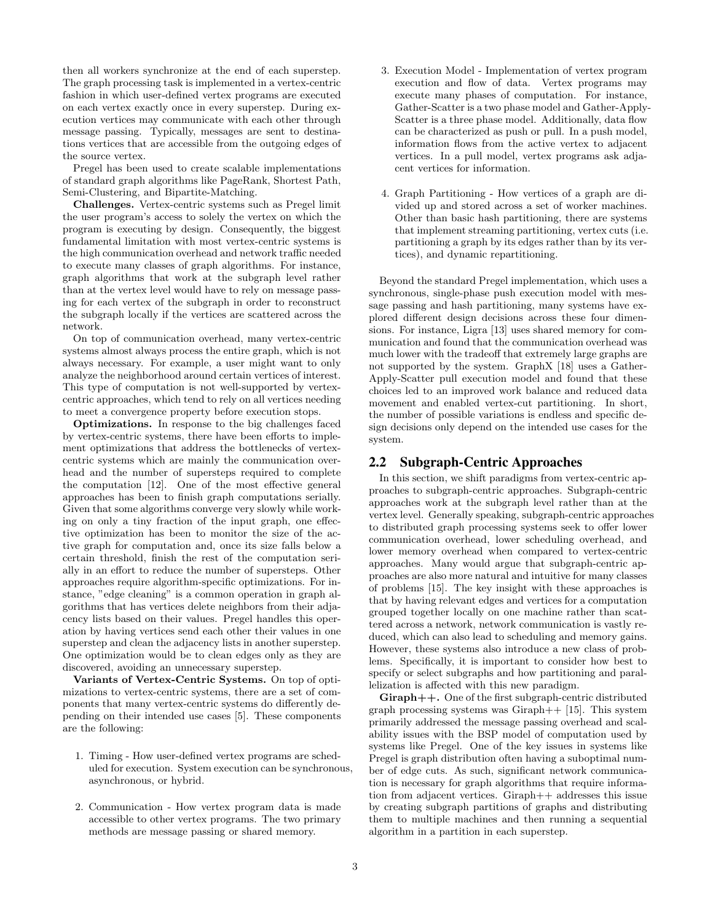then all workers synchronize at the end of each superstep. The graph processing task is implemented in a vertex-centric fashion in which user-defined vertex programs are executed on each vertex exactly once in every superstep. During execution vertices may communicate with each other through message passing. Typically, messages are sent to destinations vertices that are accessible from the outgoing edges of the source vertex.

Pregel has been used to create scalable implementations of standard graph algorithms like PageRank, Shortest Path, Semi-Clustering, and Bipartite-Matching.

Challenges. Vertex-centric systems such as Pregel limit the user program's access to solely the vertex on which the program is executing by design. Consequently, the biggest fundamental limitation with most vertex-centric systems is the high communication overhead and network traffic needed to execute many classes of graph algorithms. For instance, graph algorithms that work at the subgraph level rather than at the vertex level would have to rely on message passing for each vertex of the subgraph in order to reconstruct the subgraph locally if the vertices are scattered across the network.

On top of communication overhead, many vertex-centric systems almost always process the entire graph, which is not always necessary. For example, a user might want to only analyze the neighborhood around certain vertices of interest. This type of computation is not well-supported by vertexcentric approaches, which tend to rely on all vertices needing to meet a convergence property before execution stops.

Optimizations. In response to the big challenges faced by vertex-centric systems, there have been efforts to implement optimizations that address the bottlenecks of vertexcentric systems which are mainly the communication overhead and the number of supersteps required to complete the computation [12]. One of the most effective general approaches has been to finish graph computations serially. Given that some algorithms converge very slowly while working on only a tiny fraction of the input graph, one effective optimization has been to monitor the size of the active graph for computation and, once its size falls below a certain threshold, finish the rest of the computation serially in an effort to reduce the number of supersteps. Other approaches require algorithm-specific optimizations. For instance, "edge cleaning" is a common operation in graph algorithms that has vertices delete neighbors from their adjacency lists based on their values. Pregel handles this operation by having vertices send each other their values in one superstep and clean the adjacency lists in another superstep. One optimization would be to clean edges only as they are discovered, avoiding an unnecessary superstep.

Variants of Vertex-Centric Systems. On top of optimizations to vertex-centric systems, there are a set of components that many vertex-centric systems do differently depending on their intended use cases [5]. These components are the following:

- 1. Timing How user-defined vertex programs are scheduled for execution. System execution can be synchronous, asynchronous, or hybrid.
- 2. Communication How vertex program data is made accessible to other vertex programs. The two primary methods are message passing or shared memory.
- 3. Execution Model Implementation of vertex program execution and flow of data. Vertex programs may execute many phases of computation. For instance, Gather-Scatter is a two phase model and Gather-Apply-Scatter is a three phase model. Additionally, data flow can be characterized as push or pull. In a push model, information flows from the active vertex to adjacent vertices. In a pull model, vertex programs ask adjacent vertices for information.
- 4. Graph Partitioning How vertices of a graph are divided up and stored across a set of worker machines. Other than basic hash partitioning, there are systems that implement streaming partitioning, vertex cuts (i.e. partitioning a graph by its edges rather than by its vertices), and dynamic repartitioning.

Beyond the standard Pregel implementation, which uses a synchronous, single-phase push execution model with message passing and hash partitioning, many systems have explored different design decisions across these four dimensions. For instance, Ligra [13] uses shared memory for communication and found that the communication overhead was much lower with the tradeoff that extremely large graphs are not supported by the system. GraphX [18] uses a Gather-Apply-Scatter pull execution model and found that these choices led to an improved work balance and reduced data movement and enabled vertex-cut partitioning. In short, the number of possible variations is endless and specific design decisions only depend on the intended use cases for the system.

### 2.2 Subgraph-Centric Approaches

In this section, we shift paradigms from vertex-centric approaches to subgraph-centric approaches. Subgraph-centric approaches work at the subgraph level rather than at the vertex level. Generally speaking, subgraph-centric approaches to distributed graph processing systems seek to offer lower communication overhead, lower scheduling overhead, and lower memory overhead when compared to vertex-centric approaches. Many would argue that subgraph-centric approaches are also more natural and intuitive for many classes of problems [15]. The key insight with these approaches is that by having relevant edges and vertices for a computation grouped together locally on one machine rather than scattered across a network, network communication is vastly reduced, which can also lead to scheduling and memory gains. However, these systems also introduce a new class of problems. Specifically, it is important to consider how best to specify or select subgraphs and how partitioning and parallelization is affected with this new paradigm.

Giraph++. One of the first subgraph-centric distributed graph processing systems was Giraph $++$  [15]. This system primarily addressed the message passing overhead and scalability issues with the BSP model of computation used by systems like Pregel. One of the key issues in systems like Pregel is graph distribution often having a suboptimal number of edge cuts. As such, significant network communication is necessary for graph algorithms that require information from adjacent vertices. Giraph++ addresses this issue by creating subgraph partitions of graphs and distributing them to multiple machines and then running a sequential algorithm in a partition in each superstep.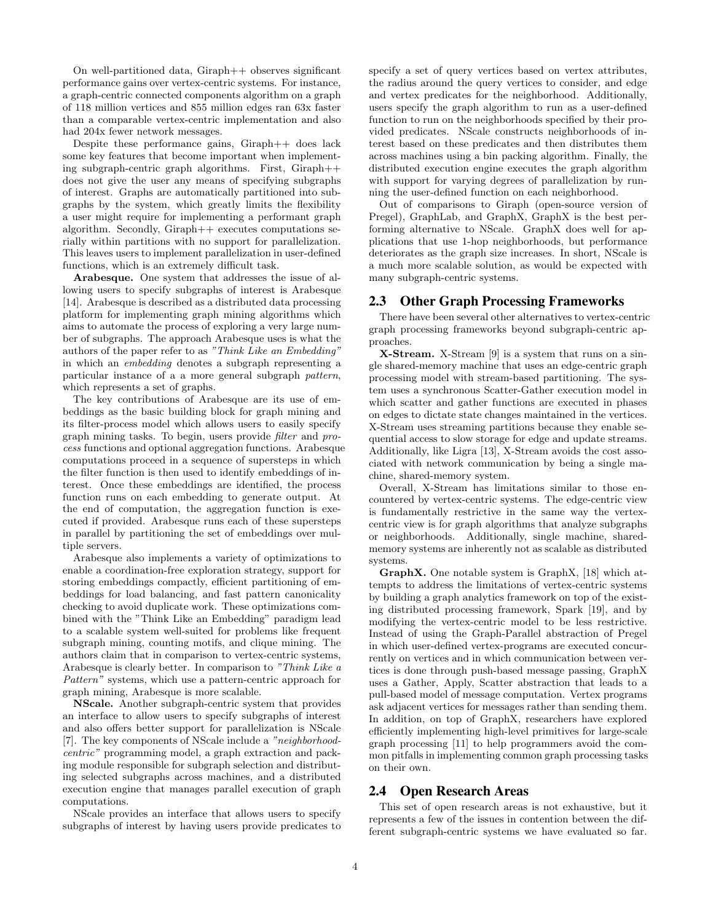On well-partitioned data, Giraph++ observes significant performance gains over vertex-centric systems. For instance, a graph-centric connected components algorithm on a graph of 118 million vertices and 855 million edges ran 63x faster than a comparable vertex-centric implementation and also had 204x fewer network messages.

Despite these performance gains, Giraph++ does lack some key features that become important when implementing subgraph-centric graph algorithms. First, Giraph++ does not give the user any means of specifying subgraphs of interest. Graphs are automatically partitioned into subgraphs by the system, which greatly limits the flexibility a user might require for implementing a performant graph algorithm. Secondly, Giraph++ executes computations serially within partitions with no support for parallelization. This leaves users to implement parallelization in user-defined functions, which is an extremely difficult task.

Arabesque. One system that addresses the issue of allowing users to specify subgraphs of interest is Arabesque [14]. Arabesque is described as a distributed data processing platform for implementing graph mining algorithms which aims to automate the process of exploring a very large number of subgraphs. The approach Arabesque uses is what the authors of the paper refer to as "Think Like an Embedding" in which an embedding denotes a subgraph representing a particular instance of a a more general subgraph pattern, which represents a set of graphs.

The key contributions of Arabesque are its use of embeddings as the basic building block for graph mining and its filter-process model which allows users to easily specify graph mining tasks. To begin, users provide filter and process functions and optional aggregation functions. Arabesque computations proceed in a sequence of supersteps in which the filter function is then used to identify embeddings of interest. Once these embeddings are identified, the process function runs on each embedding to generate output. At the end of computation, the aggregation function is executed if provided. Arabesque runs each of these supersteps in parallel by partitioning the set of embeddings over multiple servers.

Arabesque also implements a variety of optimizations to enable a coordination-free exploration strategy, support for storing embeddings compactly, efficient partitioning of embeddings for load balancing, and fast pattern canonicality checking to avoid duplicate work. These optimizations combined with the "Think Like an Embedding" paradigm lead to a scalable system well-suited for problems like frequent subgraph mining, counting motifs, and clique mining. The authors claim that in comparison to vertex-centric systems, Arabesque is clearly better. In comparison to "Think Like a Pattern" systems, which use a pattern-centric approach for graph mining, Arabesque is more scalable.

NScale. Another subgraph-centric system that provides an interface to allow users to specify subgraphs of interest and also offers better support for parallelization is NScale [7]. The key components of NScale include a "neighborhoodcentric" programming model, a graph extraction and packing module responsible for subgraph selection and distributing selected subgraphs across machines, and a distributed execution engine that manages parallel execution of graph computations.

NScale provides an interface that allows users to specify subgraphs of interest by having users provide predicates to specify a set of query vertices based on vertex attributes, the radius around the query vertices to consider, and edge and vertex predicates for the neighborhood. Additionally, users specify the graph algorithm to run as a user-defined function to run on the neighborhoods specified by their provided predicates. NScale constructs neighborhoods of interest based on these predicates and then distributes them across machines using a bin packing algorithm. Finally, the distributed execution engine executes the graph algorithm with support for varying degrees of parallelization by running the user-defined function on each neighborhood.

Out of comparisons to Giraph (open-source version of Pregel), GraphLab, and GraphX, GraphX is the best performing alternative to NScale. GraphX does well for applications that use 1-hop neighborhoods, but performance deteriorates as the graph size increases. In short, NScale is a much more scalable solution, as would be expected with many subgraph-centric systems.

### 2.3 Other Graph Processing Frameworks

There have been several other alternatives to vertex-centric graph processing frameworks beyond subgraph-centric approaches.

X-Stream. X-Stream [9] is a system that runs on a single shared-memory machine that uses an edge-centric graph processing model with stream-based partitioning. The system uses a synchronous Scatter-Gather execution model in which scatter and gather functions are executed in phases on edges to dictate state changes maintained in the vertices. X-Stream uses streaming partitions because they enable sequential access to slow storage for edge and update streams. Additionally, like Ligra [13], X-Stream avoids the cost associated with network communication by being a single machine, shared-memory system.

Overall, X-Stream has limitations similar to those encountered by vertex-centric systems. The edge-centric view is fundamentally restrictive in the same way the vertexcentric view is for graph algorithms that analyze subgraphs or neighborhoods. Additionally, single machine, sharedmemory systems are inherently not as scalable as distributed systems.

GraphX. One notable system is GraphX, [18] which attempts to address the limitations of vertex-centric systems by building a graph analytics framework on top of the existing distributed processing framework, Spark [19], and by modifying the vertex-centric model to be less restrictive. Instead of using the Graph-Parallel abstraction of Pregel in which user-defined vertex-programs are executed concurrently on vertices and in which communication between vertices is done through push-based message passing, GraphX uses a Gather, Apply, Scatter abstraction that leads to a pull-based model of message computation. Vertex programs ask adjacent vertices for messages rather than sending them. In addition, on top of GraphX, researchers have explored efficiently implementing high-level primitives for large-scale graph processing [11] to help programmers avoid the common pitfalls in implementing common graph processing tasks on their own.

### 2.4 Open Research Areas

This set of open research areas is not exhaustive, but it represents a few of the issues in contention between the different subgraph-centric systems we have evaluated so far.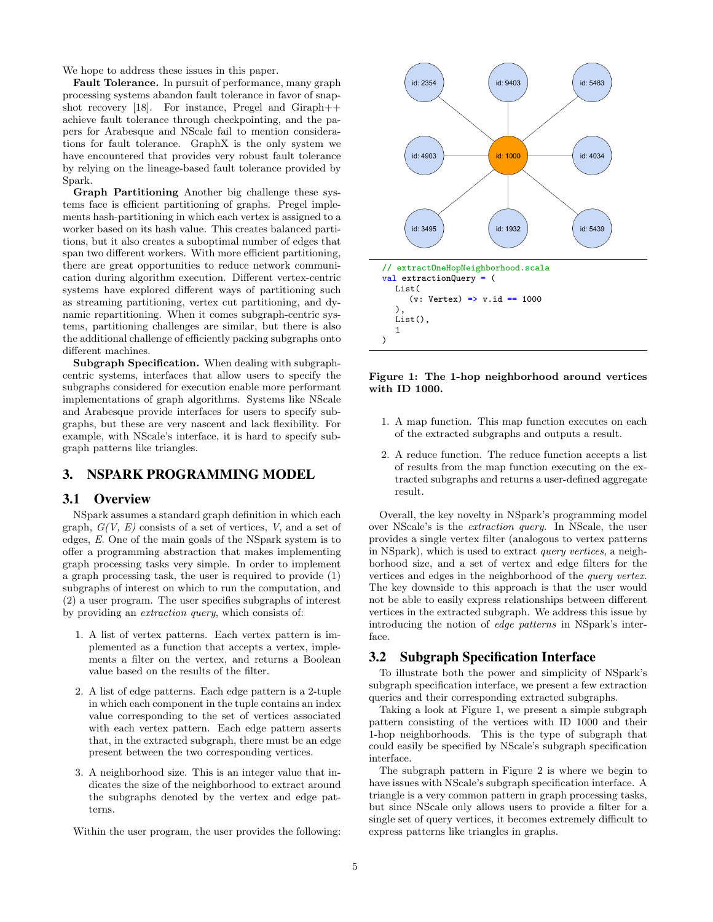We hope to address these issues in this paper.

Fault Tolerance. In pursuit of performance, many graph processing systems abandon fault tolerance in favor of snapshot recovery [18]. For instance, Pregel and Giraph $++$ achieve fault tolerance through checkpointing, and the papers for Arabesque and NScale fail to mention considerations for fault tolerance. GraphX is the only system we have encountered that provides very robust fault tolerance by relying on the lineage-based fault tolerance provided by Spark.

Graph Partitioning Another big challenge these systems face is efficient partitioning of graphs. Pregel implements hash-partitioning in which each vertex is assigned to a worker based on its hash value. This creates balanced partitions, but it also creates a suboptimal number of edges that span two different workers. With more efficient partitioning, there are great opportunities to reduce network communication during algorithm execution. Different vertex-centric systems have explored different ways of partitioning such as streaming partitioning, vertex cut partitioning, and dynamic repartitioning. When it comes subgraph-centric systems, partitioning challenges are similar, but there is also the additional challenge of efficiently packing subgraphs onto different machines.

Subgraph Specification. When dealing with subgraphcentric systems, interfaces that allow users to specify the subgraphs considered for execution enable more performant implementations of graph algorithms. Systems like NScale and Arabesque provide interfaces for users to specify subgraphs, but these are very nascent and lack flexibility. For example, with NScale's interface, it is hard to specify subgraph patterns like triangles.

# 3. NSPARK PROGRAMMING MODEL

### 3.1 Overview

NSpark assumes a standard graph definition in which each graph,  $G(V, E)$  consists of a set of vertices, V, and a set of edges, E. One of the main goals of the NSpark system is to offer a programming abstraction that makes implementing graph processing tasks very simple. In order to implement a graph processing task, the user is required to provide (1) subgraphs of interest on which to run the computation, and (2) a user program. The user specifies subgraphs of interest by providing an extraction query, which consists of:

- 1. A list of vertex patterns. Each vertex pattern is implemented as a function that accepts a vertex, implements a filter on the vertex, and returns a Boolean value based on the results of the filter.
- 2. A list of edge patterns. Each edge pattern is a 2-tuple in which each component in the tuple contains an index value corresponding to the set of vertices associated with each vertex pattern. Each edge pattern asserts that, in the extracted subgraph, there must be an edge present between the two corresponding vertices.
- 3. A neighborhood size. This is an integer value that indicates the size of the neighborhood to extract around the subgraphs denoted by the vertex and edge patterns.

Within the user program, the user provides the following:



Figure 1: The 1-hop neighborhood around vertices with ID 1000.

- 1. A map function. This map function executes on each of the extracted subgraphs and outputs a result.
- 2. A reduce function. The reduce function accepts a list of results from the map function executing on the extracted subgraphs and returns a user-defined aggregate result.

Overall, the key novelty in NSpark's programming model over NScale's is the extraction query. In NScale, the user provides a single vertex filter (analogous to vertex patterns in NSpark), which is used to extract query vertices, a neighborhood size, and a set of vertex and edge filters for the vertices and edges in the neighborhood of the query vertex. The key downside to this approach is that the user would not be able to easily express relationships between different vertices in the extracted subgraph. We address this issue by introducing the notion of edge patterns in NSpark's interface.

### 3.2 Subgraph Specification Interface

To illustrate both the power and simplicity of NSpark's subgraph specification interface, we present a few extraction queries and their corresponding extracted subgraphs.

Taking a look at Figure 1, we present a simple subgraph pattern consisting of the vertices with ID 1000 and their 1-hop neighborhoods. This is the type of subgraph that could easily be specified by NScale's subgraph specification interface.

The subgraph pattern in Figure 2 is where we begin to have issues with NScale's subgraph specification interface. A triangle is a very common pattern in graph processing tasks, but since NScale only allows users to provide a filter for a single set of query vertices, it becomes extremely difficult to express patterns like triangles in graphs.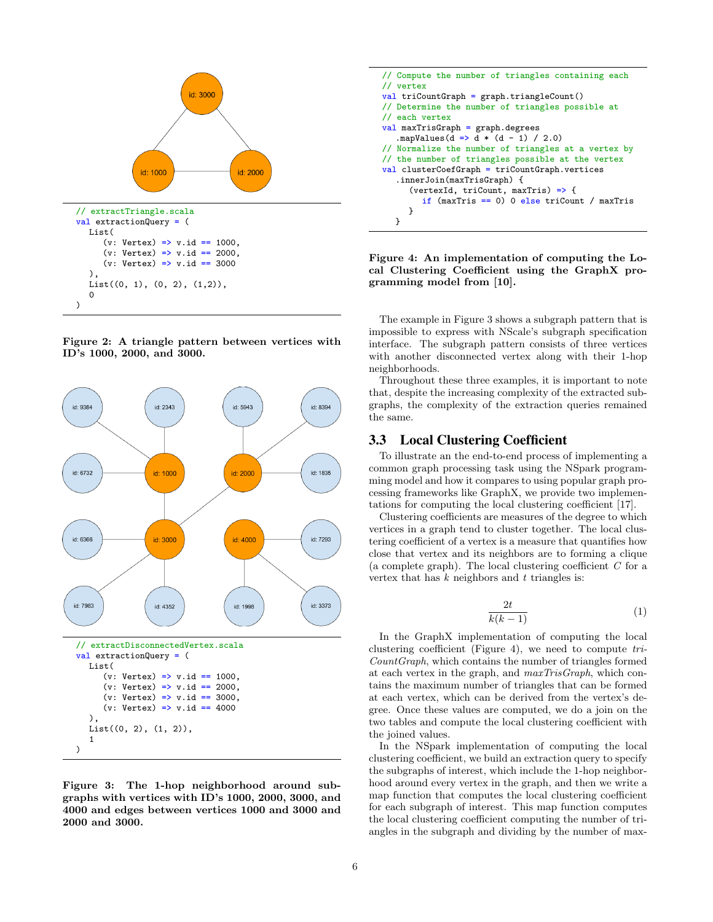

Figure 2: A triangle pattern between vertices with ID's 1000, 2000, and 3000.



Figure 3: The 1-hop neighborhood around subgraphs with vertices with ID's 1000, 2000, 3000, and 4000 and edges between vertices 1000 and 3000 and 2000 and 3000.



Figure 4: An implementation of computing the Local Clustering Coefficient using the GraphX programming model from [10].

The example in Figure 3 shows a subgraph pattern that is impossible to express with NScale's subgraph specification interface. The subgraph pattern consists of three vertices with another disconnected vertex along with their 1-hop neighborhoods.

Throughout these three examples, it is important to note that, despite the increasing complexity of the extracted subgraphs, the complexity of the extraction queries remained the same.

## 3.3 Local Clustering Coefficient

To illustrate an the end-to-end process of implementing a common graph processing task using the NSpark programming model and how it compares to using popular graph processing frameworks like GraphX, we provide two implementations for computing the local clustering coefficient [17].

Clustering coefficients are measures of the degree to which vertices in a graph tend to cluster together. The local clustering coefficient of a vertex is a measure that quantifies how close that vertex and its neighbors are to forming a clique (a complete graph). The local clustering coefficient  $C$  for a vertex that has  $k$  neighbors and  $t$  triangles is:

$$
\frac{2t}{k(k-1)}\tag{1}
$$

In the GraphX implementation of computing the local clustering coefficient (Figure 4), we need to compute tri-CountGraph, which contains the number of triangles formed at each vertex in the graph, and maxTrisGraph, which contains the maximum number of triangles that can be formed at each vertex, which can be derived from the vertex's degree. Once these values are computed, we do a join on the two tables and compute the local clustering coefficient with the joined values.

In the NSpark implementation of computing the local clustering coefficient, we build an extraction query to specify the subgraphs of interest, which include the 1-hop neighborhood around every vertex in the graph, and then we write a map function that computes the local clustering coefficient for each subgraph of interest. This map function computes the local clustering coefficient computing the number of triangles in the subgraph and dividing by the number of max-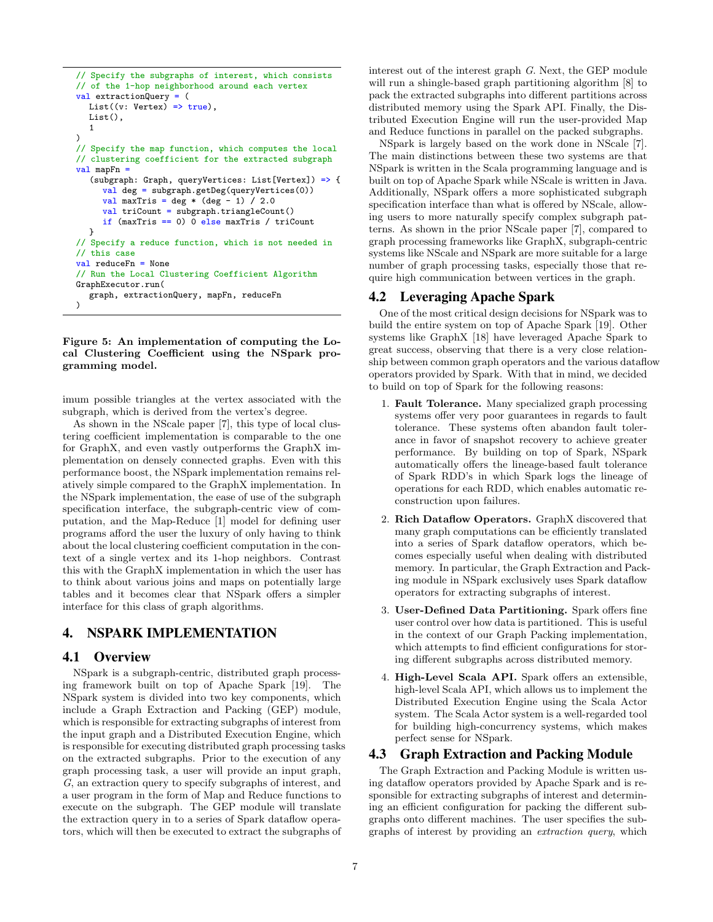```
// Specify the subgraphs of interest, which consists
// of the 1-hop neighborhood around each vertex
val extractionQuery = (
  List((v: Vertex) => true),
  List(),
  1
)
// Specify the map function, which computes the local
// clustering coefficient for the extracted subgraph
val mapFn =
  (subgraph: Graph, queryVertices: List[Vertex]) => {
     val deg = subgraph.getDeg(queryVertices(0))
     val maxTris = deg *(deg - 1) / 2.0
     val triCount = subgraph.triangleCount()
     if (maxTris == 0) \overline{0} else maxTris / triCount
  }
// Specify a reduce function, which is not needed in
// this case
val reduceFn = None
// Run the Local Clustering Coefficient Algorithm
GraphExecutor.run(
  graph, extractionQuery, mapFn, reduceFn
)
```
Figure 5: An implementation of computing the Local Clustering Coefficient using the NSpark programming model.

imum possible triangles at the vertex associated with the subgraph, which is derived from the vertex's degree.

As shown in the NScale paper [7], this type of local clustering coefficient implementation is comparable to the one for GraphX, and even vastly outperforms the GraphX implementation on densely connected graphs. Even with this performance boost, the NSpark implementation remains relatively simple compared to the GraphX implementation. In the NSpark implementation, the ease of use of the subgraph specification interface, the subgraph-centric view of computation, and the Map-Reduce [1] model for defining user programs afford the user the luxury of only having to think about the local clustering coefficient computation in the context of a single vertex and its 1-hop neighbors. Contrast this with the GraphX implementation in which the user has to think about various joins and maps on potentially large tables and it becomes clear that NSpark offers a simpler interface for this class of graph algorithms.

# 4. NSPARK IMPLEMENTATION

### 4.1 Overview

NSpark is a subgraph-centric, distributed graph processing framework built on top of Apache Spark [19]. The NSpark system is divided into two key components, which include a Graph Extraction and Packing (GEP) module, which is responsible for extracting subgraphs of interest from the input graph and a Distributed Execution Engine, which is responsible for executing distributed graph processing tasks on the extracted subgraphs. Prior to the execution of any graph processing task, a user will provide an input graph, G, an extraction query to specify subgraphs of interest, and a user program in the form of Map and Reduce functions to execute on the subgraph. The GEP module will translate the extraction query in to a series of Spark dataflow operators, which will then be executed to extract the subgraphs of

interest out of the interest graph G. Next, the GEP module will run a shingle-based graph partitioning algorithm [8] to pack the extracted subgraphs into different partitions across distributed memory using the Spark API. Finally, the Distributed Execution Engine will run the user-provided Map and Reduce functions in parallel on the packed subgraphs.

NSpark is largely based on the work done in NScale [7]. The main distinctions between these two systems are that NSpark is written in the Scala programming language and is built on top of Apache Spark while NScale is written in Java. Additionally, NSpark offers a more sophisticated subgraph specification interface than what is offered by NScale, allowing users to more naturally specify complex subgraph patterns. As shown in the prior NScale paper [7], compared to graph processing frameworks like GraphX, subgraph-centric systems like NScale and NSpark are more suitable for a large number of graph processing tasks, especially those that require high communication between vertices in the graph.

### 4.2 Leveraging Apache Spark

One of the most critical design decisions for NSpark was to build the entire system on top of Apache Spark [19]. Other systems like GraphX [18] have leveraged Apache Spark to great success, observing that there is a very close relationship between common graph operators and the various dataflow operators provided by Spark. With that in mind, we decided to build on top of Spark for the following reasons:

- 1. Fault Tolerance. Many specialized graph processing systems offer very poor guarantees in regards to fault tolerance. These systems often abandon fault tolerance in favor of snapshot recovery to achieve greater performance. By building on top of Spark, NSpark automatically offers the lineage-based fault tolerance of Spark RDD's in which Spark logs the lineage of operations for each RDD, which enables automatic reconstruction upon failures.
- 2. Rich Dataflow Operators. GraphX discovered that many graph computations can be efficiently translated into a series of Spark dataflow operators, which becomes especially useful when dealing with distributed memory. In particular, the Graph Extraction and Packing module in NSpark exclusively uses Spark dataflow operators for extracting subgraphs of interest.
- 3. User-Defined Data Partitioning. Spark offers fine user control over how data is partitioned. This is useful in the context of our Graph Packing implementation, which attempts to find efficient configurations for storing different subgraphs across distributed memory.
- 4. High-Level Scala API. Spark offers an extensible, high-level Scala API, which allows us to implement the Distributed Execution Engine using the Scala Actor system. The Scala Actor system is a well-regarded tool for building high-concurrency systems, which makes perfect sense for NSpark.

# 4.3 Graph Extraction and Packing Module

The Graph Extraction and Packing Module is written using dataflow operators provided by Apache Spark and is responsible for extracting subgraphs of interest and determining an efficient configuration for packing the different subgraphs onto different machines. The user specifies the subgraphs of interest by providing an extraction query, which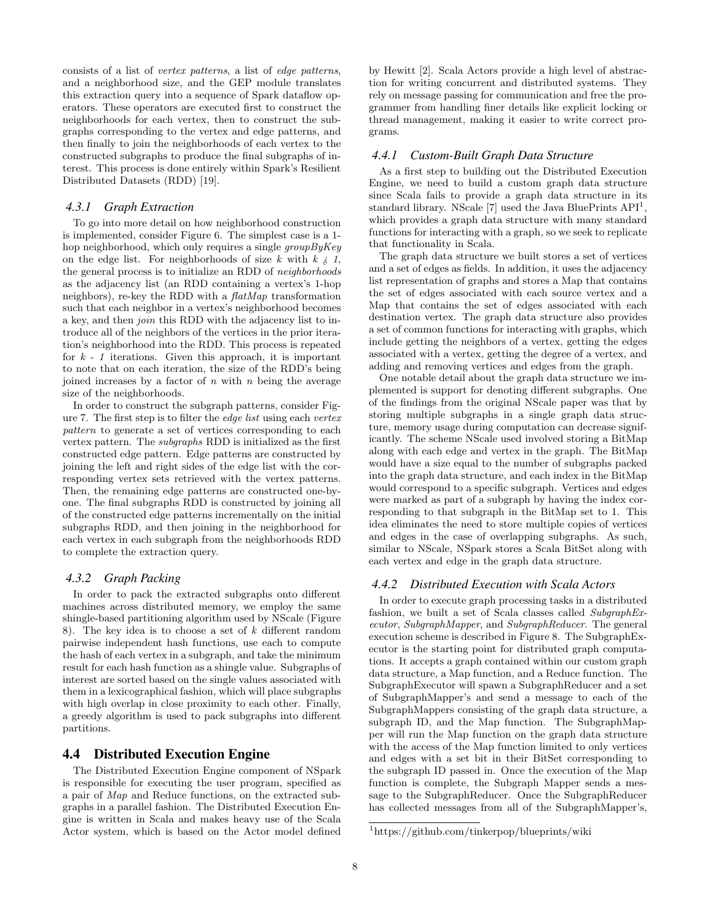consists of a list of vertex patterns, a list of edge patterns, and a neighborhood size, and the GEP module translates this extraction query into a sequence of Spark dataflow operators. These operators are executed first to construct the neighborhoods for each vertex, then to construct the subgraphs corresponding to the vertex and edge patterns, and then finally to join the neighborhoods of each vertex to the constructed subgraphs to produce the final subgraphs of interest. This process is done entirely within Spark's Resilient Distributed Datasets (RDD) [19].

### *4.3.1 Graph Extraction*

To go into more detail on how neighborhood construction is implemented, consider Figure 6. The simplest case is a 1 hop neighborhood, which only requires a single groupByKey on the edge list. For neighborhoods of size k with  $k \nvert i$ , the general process is to initialize an RDD of neighborhoods as the adjacency list (an RDD containing a vertex's 1-hop neighbors), re-key the RDD with a flatMap transformation such that each neighbor in a vertex's neighborhood becomes a key, and then join this RDD with the adjacency list to introduce all of the neighbors of the vertices in the prior iteration's neighborhood into the RDD. This process is repeated for  $k - 1$  iterations. Given this approach, it is important to note that on each iteration, the size of the RDD's being joined increases by a factor of  $n$  with  $n$  being the average size of the neighborhoods.

In order to construct the subgraph patterns, consider Figure 7. The first step is to filter the edge list using each vertex pattern to generate a set of vertices corresponding to each vertex pattern. The subgraphs RDD is initialized as the first constructed edge pattern. Edge patterns are constructed by joining the left and right sides of the edge list with the corresponding vertex sets retrieved with the vertex patterns. Then, the remaining edge patterns are constructed one-byone. The final subgraphs RDD is constructed by joining all of the constructed edge patterns incrementally on the initial subgraphs RDD, and then joining in the neighborhood for each vertex in each subgraph from the neighborhoods RDD to complete the extraction query.

### *4.3.2 Graph Packing*

In order to pack the extracted subgraphs onto different machines across distributed memory, we employ the same shingle-based partitioning algorithm used by NScale (Figure 8). The key idea is to choose a set of k different random pairwise independent hash functions, use each to compute the hash of each vertex in a subgraph, and take the minimum result for each hash function as a shingle value. Subgraphs of interest are sorted based on the single values associated with them in a lexicographical fashion, which will place subgraphs with high overlap in close proximity to each other. Finally, a greedy algorithm is used to pack subgraphs into different partitions.

### 4.4 Distributed Execution Engine

The Distributed Execution Engine component of NSpark is responsible for executing the user program, specified as a pair of Map and Reduce functions, on the extracted subgraphs in a parallel fashion. The Distributed Execution Engine is written in Scala and makes heavy use of the Scala Actor system, which is based on the Actor model defined by Hewitt [2]. Scala Actors provide a high level of abstraction for writing concurrent and distributed systems. They rely on message passing for communication and free the programmer from handling finer details like explicit locking or thread management, making it easier to write correct programs.

### *4.4.1 Custom-Built Graph Data Structure*

As a first step to building out the Distributed Execution Engine, we need to build a custom graph data structure since Scala fails to provide a graph data structure in its standard library. NScale [7] used the Java BluePrints  $API<sup>1</sup>$ , which provides a graph data structure with many standard functions for interacting with a graph, so we seek to replicate that functionality in Scala.

The graph data structure we built stores a set of vertices and a set of edges as fields. In addition, it uses the adjacency list representation of graphs and stores a Map that contains the set of edges associated with each source vertex and a Map that contains the set of edges associated with each destination vertex. The graph data structure also provides a set of common functions for interacting with graphs, which include getting the neighbors of a vertex, getting the edges associated with a vertex, getting the degree of a vertex, and adding and removing vertices and edges from the graph.

One notable detail about the graph data structure we implemented is support for denoting different subgraphs. One of the findings from the original NScale paper was that by storing multiple subgraphs in a single graph data structure, memory usage during computation can decrease significantly. The scheme NScale used involved storing a BitMap along with each edge and vertex in the graph. The BitMap would have a size equal to the number of subgraphs packed into the graph data structure, and each index in the BitMap would correspond to a specific subgraph. Vertices and edges were marked as part of a subgraph by having the index corresponding to that subgraph in the BitMap set to 1. This idea eliminates the need to store multiple copies of vertices and edges in the case of overlapping subgraphs. As such, similar to NScale, NSpark stores a Scala BitSet along with each vertex and edge in the graph data structure.

#### *4.4.2 Distributed Execution with Scala Actors*

In order to execute graph processing tasks in a distributed fashion, we built a set of Scala classes called SubgraphExecutor, SubgraphMapper, and SubgraphReducer. The general execution scheme is described in Figure 8. The SubgraphExecutor is the starting point for distributed graph computations. It accepts a graph contained within our custom graph data structure, a Map function, and a Reduce function. The SubgraphExecutor will spawn a SubgraphReducer and a set of SubgraphMapper's and send a message to each of the SubgraphMappers consisting of the graph data structure, a subgraph ID, and the Map function. The SubgraphMapper will run the Map function on the graph data structure with the access of the Map function limited to only vertices and edges with a set bit in their BitSet corresponding to the subgraph ID passed in. Once the execution of the Map function is complete, the Subgraph Mapper sends a message to the SubgraphReducer. Once the SubgraphReducer has collected messages from all of the SubgraphMapper's,

<sup>1</sup>https://github.com/tinkerpop/blueprints/wiki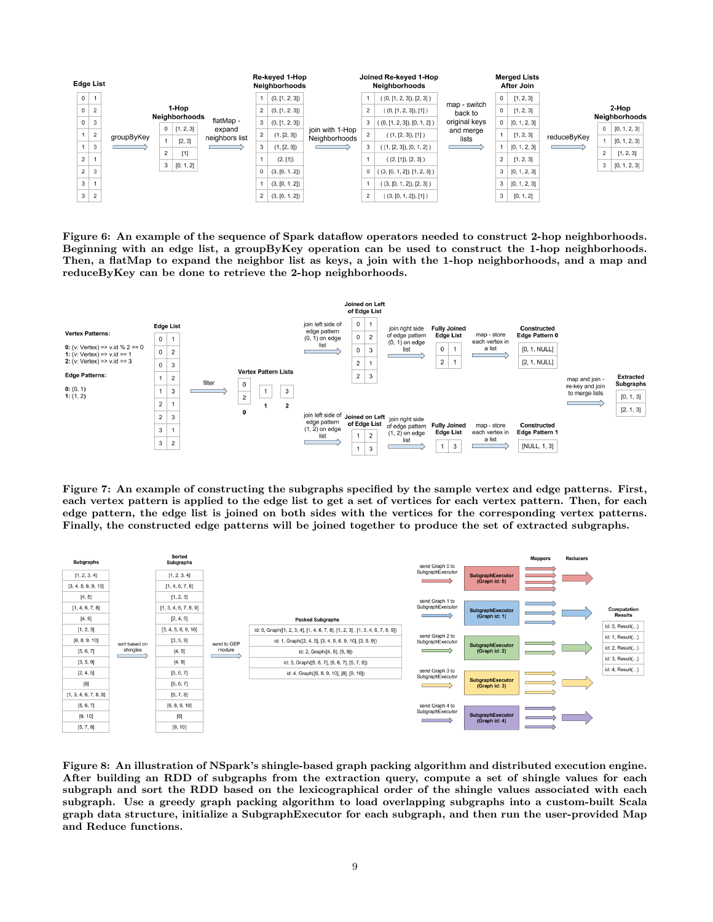| <b>Edge List</b> |                |                |                                   |                               |           |                                                                       | Re-keved 1-Hop<br>Neighborhoods |                |                                                                 | Joined Re-keved 1-Hop<br><b>Neighborhoods</b> |                               |                                                                 | <b>Merged Lists</b><br>After Join |              |             |                        |              |
|------------------|----------------|----------------|-----------------------------------|-------------------------------|-----------|-----------------------------------------------------------------------|---------------------------------|----------------|-----------------------------------------------------------------|-----------------------------------------------|-------------------------------|-----------------------------------------------------------------|-----------------------------------|--------------|-------------|------------------------|--------------|
|                  | $\mathsf 0$    | $-1$           |                                   |                               |           |                                                                       |                                 | (0, [1, 2, 3]) |                                                                 |                                               | ( (0, [1, 2, 3]), [2, 3] )    |                                                                 | 0                                 | [1, 2, 3]    |             |                        |              |
|                  | $\mathbf{0}$   | $\overline{2}$ |                                   | 1-Hop<br><b>Neighborhoods</b> |           |                                                                       | 2                               | (0, [1, 2, 3]) |                                                                 | 2                                             | ( (0, [1, 2, 3]), [1] )       | map - switch<br>back to                                         | $0-1$                             | [1, 2, 3]    |             | 2-Hop<br>Neighborhoods |              |
|                  | $\mathsf 0$    | $\mathbf{3}$   |                                   | $\mathbf{0}$                  |           | flatMap -<br>[1, 2, 3]<br>expand<br>neighbors list<br>[2, 3]<br>$[1]$ | 3                               | (0, [1, 2, 3]) | ioin with 1-Hop<br>Neighborhoods<br><u> The Common State of</u> | 3                                             | ( (0, [1, 2, 3]), [0, 1, 2] ) | original keys<br>and merge<br>lists<br><b>Contract Contract</b> | 0                                 | [0, 1, 2, 3] | reduceByKey | 0                      | [0, 1, 2, 3] |
|                  | $\mathbf{1}$   | $\overline{2}$ | groupByKey                        |                               |           |                                                                       | 2                               | (1, [2, 3])    |                                                                 | 2                                             | ((1, [2, 3]), [1])            |                                                                 |                                   | [1, 2, 3]    |             |                        | [0, 1, 2, 3] |
|                  | $\mathbf{1}$   | $\overline{3}$ | <b>Contract Contract Contract</b> | $\overline{2}$                |           |                                                                       | 3                               | (1, [2, 3])    |                                                                 | 3                                             | ((1, [2, 3]), [0, 1, 2])      |                                                                 |                                   | [0, 1, 2, 3] |             |                        |              |
|                  | $\overline{2}$ |                |                                   | 3                             |           |                                                                       |                                 | (2, [1])       |                                                                 |                                               | ((2, [1]), [2, 3])            |                                                                 | 2 <sup>1</sup>                    | [1, 2, 3]    |             | 2                      | [1, 2, 3]    |
|                  | $\overline{2}$ | $_{\rm 3}$     |                                   |                               | [0, 1, 2] |                                                                       | 0                               | (3, [0, 1, 2]) |                                                                 | 0                                             | ((3, [0, 1, 2]), [1, 2, 3])   |                                                                 | 3                                 | [0, 1, 2, 3] |             | 3                      | [0, 1, 2, 3] |
|                  | 3              |                |                                   |                               |           |                                                                       |                                 | (3, [0, 1, 2]) |                                                                 |                                               | ( (3, [0, 1, 2]), [2, 3] )    |                                                                 | 3                                 | [0, 1, 2, 3] |             |                        |              |
|                  | 3              | $\overline{2}$ |                                   |                               |           |                                                                       | $\overline{2}$                  | (3, [0, 1, 2]) |                                                                 | $\overline{2}$                                | ( (3, [0, 1, 2]), [1] )       |                                                                 | 3                                 | [0, 1, 2]    |             |                        |              |

Figure 6: An example of the sequence of Spark dataflow operators needed to construct 2-hop neighborhoods. Beginning with an edge list, a groupByKey operation can be used to construct the 1-hop neighborhoods. Then, a flatMap to expand the neighbor list as keys, a join with the 1-hop neighborhoods, and a map and reduceByKey can be done to retrieve the 2-hop neighborhoods.



Figure 7: An example of constructing the subgraphs specified by the sample vertex and edge patterns. First, each vertex pattern is applied to the edge list to get a set of vertices for each vertex pattern. Then, for each edge pattern, the edge list is joined on both sides with the vertices for the corresponding vertex patterns. Finally, the constructed edge patterns will be joined together to produce the set of extracted subgraphs.



Figure 8: An illustration of NSpark's shingle-based graph packing algorithm and distributed execution engine. After building an RDD of subgraphs from the extraction query, compute a set of shingle values for each subgraph and sort the RDD based on the lexicographical order of the shingle values associated with each subgraph. Use a greedy graph packing algorithm to load overlapping subgraphs into a custom-built Scala graph data structure, initialize a SubgraphExecutor for each subgraph, and then run the user-provided Map and Reduce functions.